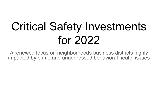# Critical Safety Investments for 2022

A renewed focus on neighborhoods business districts highly impacted by crime and unaddressed behavioral health issues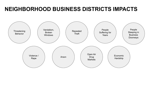# **NEIGHBORHOOD BUSINESS DISTRICTS IMPACTS**

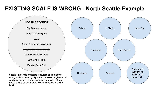# **EXISTING SCALE IS WRONG - North Seattle Example**

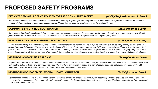# **PROPOSED SAFETY PROGRAMS**

### **DEDICATED MAYOR'S OFFICE ROLE TO OVERSEE COMMUNITY SAFETY** *(At City/Regional Leadership Level)*

*A dedicated employee within Mayor Harrell's office with the authority to green-light pilot programs and to work across city agencies to address the economic impacts of street-level crime and unaddressed behavioral health issues. (Andrew Myerberg is currently playing this role)*

### **COMMUNITY SAFETY HUB COORDINATOR** *(At Neighborhood Level)*

*A team of neighborhood-specific safety hub coordinators to act as liaisons between the community, police, outreach workers, and prosecutors to help identify patterns in incidents, persons in need of social services, and persons responsible for repeated crimes in a given geography.* 

### **HIGH-VISIBILITY CIVILIAN-STAFFED FOOT PATROL** *(At Neighborhood Level)*

*Teams of high-visibility civilian foot-beat patrols in major commercial districts, trained but unsworn, who can catalogue issues and provide proactive problem*  solving through relationships at the street level, while also providing a visual deterrent in areas where SPD no longer has the staffing available for regular foot patrols. These individuals would be out on the streets of the community. They would foster relationships with businesses within a small geography and provide *access to appropriate city/human services when needed, de-escalate mild crisis situations while spotting trends and issues that require additional city attention.*

### **NEIGHBORHOOD CRISIS RESPONSE** *(At Neighborhood Level)*

*Neighborhood-specific crisis-response teams that include behavioral health specialists and medical professionals who are trained in de-escalation and can liaise*  with existing outreach teams and community services who may have existing relationships and care plans in place. Also, sufficient police capacity for 911 *emergency response and emphasis patrols in high-incident neighborhood business districts.* 

### **NEIGHBORHOOD-BASED BEHAVIORAL HEALTH OUTREACH** *(At Neighborhood Level)*

*Neighborhood-specific teams of 2-3 outreach workers who would proactively engage with high-impact people experiencing struggles with behavioral health issues and/or homelessness. These outreach workers would provide critical support in problem-solving and issue identification for support from Community Hub Coordinator and Mayor's Office.*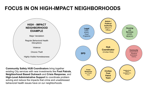# **FOCUS IN ON HIGH-IMPACT NEIGHBORHOODS**



(e.g. Health One)

**Foot Patrol Team**

**-Based Outreach (RHA** REACH)

existing City services with new investments like **Foot Patrols**, **Neighborhood Based Outreach** and **Crisis Response**, and **High-Level Administrative Support** to coordinate problem solving and reduce the impacts that crime and unaddressed behavioral health issues have on our neighborhoods.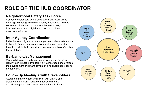# **ROLE OF THE HUB COORDINATOR**

# **Neighborhood Safety Task Force**

Convene regular care conference/operational work group meetings to strategize with community, businesses, victims, service providers and police about the best strategic interventions for each high-impact person or chronic neighborhood issue.

## **Inter-Agency Coordination**

Liaise between city and external agencies to share information in the aid of care planning and community harm reduction. Elevate roadblocks to department leadership or Mayor's Office for resolution.

# **By-Name-List Management**

Work with the community, service providers and police to identify high-impact individuals in a neighborhood and oversee the development and management of a neighborhood-specific by-name-list.

# **Follow-Up Meetings with Stakeholders**

Act as a primary contact and liaison with victims and stakeholders in high-impact communities who are experiencing crime behavioral health related incidents.